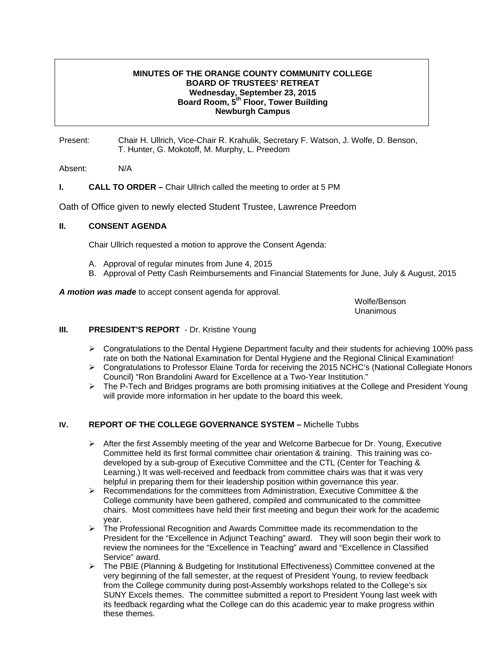# **MINUTES OF THE ORANGE COUNTY COMMUNITY COLLEGE BOARD OF TRUSTEES' RETREAT Wednesday, September 23, 2015 Board Room, 5th Floor, Tower Building Newburgh Campus**

Present: Chair H. Ullrich, Vice-Chair R. Krahulik, Secretary F. Watson, J. Wolfe, D. Benson, T. Hunter, G. Mokotoff, M. Murphy, L. Preedom

Absent: N/A

# **I.** CALL TO ORDER – Chair Ullrich called the meeting to order at 5 PM

Oath of Office given to newly elected Student Trustee, Lawrence Preedom

## **II. CONSENT AGENDA**

Chair Ullrich requested a motion to approve the Consent Agenda:

- A. Approval of regular minutes from June 4, 2015
- B. Approval of Petty Cash Reimbursements and Financial Statements for June, July & August, 2015

*A motion was made* to accept consent agenda for approval.

Wolfe/Benson<br>Unanimous Unanimous

## **III.** PRESIDENT'S REPORT - Dr. Kristine Young

- $\triangleright$  Congratulations to the Dental Hygiene Department faculty and their students for achieving 100% pass rate on both the National Examination for Dental Hygiene and the Regional Clinical Examination!
- ¾ Congratulations to Professor Elaine Torda for receiving the 2015 NCHC's (National Collegiate Honors Council) "Ron Brandolini Award for Excellence at a Two-Year Institution."
- $\triangleright$  The P-Tech and Bridges programs are both promising initiatives at the College and President Young will provide more information in her update to the board this week.

# **IV. REPORT OF THE COLLEGE GOVERNANCE SYSTEM –** Michelle Tubbs

- $\triangleright$  After the first Assembly meeting of the year and Welcome Barbecue for Dr. Young, Executive Committee held its first formal committee chair orientation & training. This training was codeveloped by a sub-group of Executive Committee and the CTL (Center for Teaching & Learning.) It was well-received and feedback from committee chairs was that it was very helpful in preparing them for their leadership position within governance this year.
- $\triangleright$  Recommendations for the committees from Administration, Executive Committee & the College community have been gathered, compiled and communicated to the committee chairs. Most committees have held their first meeting and begun their work for the academic year.
- ¾ The Professional Recognition and Awards Committee made its recommendation to the President for the "Excellence in Adjunct Teaching" award. They will soon begin their work to review the nominees for the "Excellence in Teaching" award and "Excellence in Classified Service" award.
- ¾ The PBIE (Planning & Budgeting for Institutional Effectiveness) Committee convened at the very beginning of the fall semester, at the request of President Young, to review feedback from the College community during post-Assembly workshops related to the College's six SUNY Excels themes. The committee submitted a report to President Young last week with its feedback regarding what the College can do this academic year to make progress within these themes.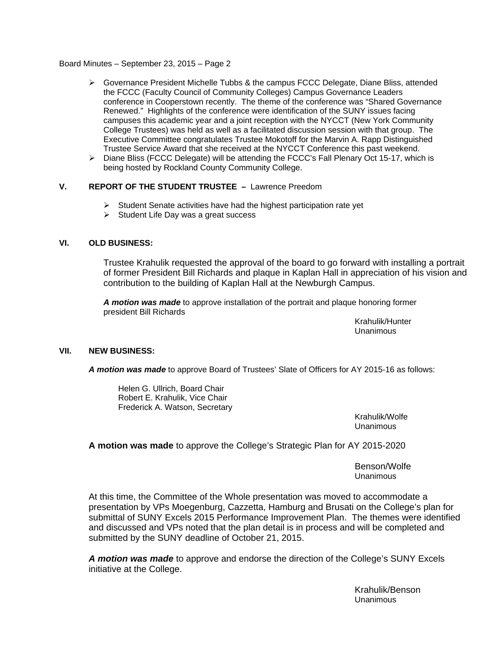- $\triangleright$  Governance President Michelle Tubbs & the campus FCCC Delegate, Diane Bliss, attended the FCCC (Faculty Council of Community Colleges) Campus Governance Leaders conference in Cooperstown recently. The theme of the conference was "Shared Governance Renewed." Highlights of the conference were identification of the SUNY issues facing campuses this academic year and a joint reception with the NYCCT (New York Community College Trustees) was held as well as a facilitated discussion session with that group. The Executive Committee congratulates Trustee Mokotoff for the Marvin A. Rapp Distinguished Trustee Service Award that she received at the NYCCT Conference this past weekend.
- $\triangleright$  Diane Bliss (FCCC Delegate) will be attending the FCCC's Fall Plenary Oct 15-17, which is being hosted by Rockland County Community College.

## **V. REPORT OF THE STUDENT TRUSTEE –** Lawrence Preedom

- $\triangleright$  Student Senate activities have had the highest participation rate yet
- $\triangleright$  Student Life Day was a great success

## **VI. OLD BUSINESS:**

Trustee Krahulik requested the approval of the board to go forward with installing a portrait of former President Bill Richards and plaque in Kaplan Hall in appreciation of his vision and contribution to the building of Kaplan Hall at the Newburgh Campus.

*A motion was made* to approve installation of the portrait and plaque honoring former president Bill Richards

> Krahulik/Hunter Unanimous

### **VII. NEW BUSINESS:**

*A motion was made* to approve Board of Trustees' Slate of Officers for AY 2015-16 as follows:

Helen G. Ullrich, Board Chair Robert E. Krahulik, Vice Chair Frederick A. Watson, Secretary

> Krahulik/Wolfe Unanimous

**A motion was made** to approve the College's Strategic Plan for AY 2015-2020

 Benson/Wolfe Unanimous

At this time, the Committee of the Whole presentation was moved to accommodate a presentation by VPs Moegenburg, Cazzetta, Hamburg and Brusati on the College's plan for submittal of SUNY Excels 2015 Performance Improvement Plan. The themes were identified and discussed and VPs noted that the plan detail is in process and will be completed and submitted by the SUNY deadline of October 21, 2015.

*A motion was made* to approve and endorse the direction of the College's SUNY Excels initiative at the College.

> Krahulik/Benson Unanimous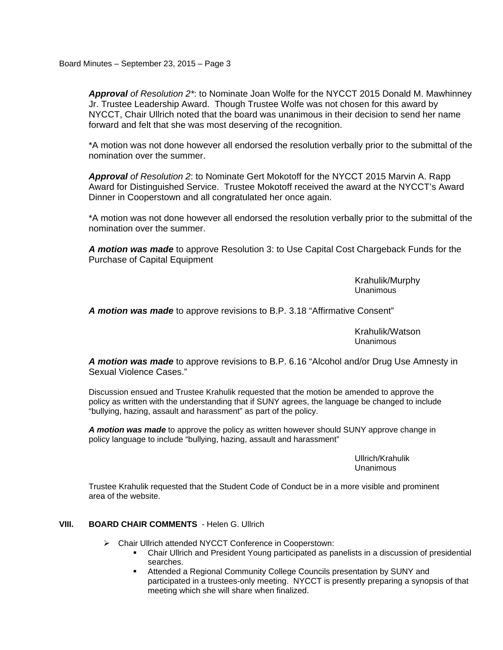*Approval of Resolution 2\**: to Nominate Joan Wolfe for the NYCCT 2015 Donald M. Mawhinney Jr. Trustee Leadership Award. Though Trustee Wolfe was not chosen for this award by NYCCT, Chair Ullrich noted that the board was unanimous in their decision to send her name forward and felt that she was most deserving of the recognition.

\*A motion was not done however all endorsed the resolution verbally prior to the submittal of the nomination over the summer.

*Approval of Resolution 2*: to Nominate Gert Mokotoff for the NYCCT 2015 Marvin A. Rapp Award for Distinguished Service. Trustee Mokotoff received the award at the NYCCT's Award Dinner in Cooperstown and all congratulated her once again.

\*A motion was not done however all endorsed the resolution verbally prior to the submittal of the nomination over the summer.

*A motion was made* to approve Resolution 3: to Use Capital Cost Chargeback Funds for the Purchase of Capital Equipment

> Krahulik/Murphy Unanimous

*A motion was made* to approve revisions to B.P. 3.18 "Affirmative Consent"

 Krahulik/Watson Unanimous

*A motion was made* to approve revisions to B.P. 6.16 "Alcohol and/or Drug Use Amnesty in Sexual Violence Cases."

Discussion ensued and Trustee Krahulik requested that the motion be amended to approve the policy as written with the understanding that if SUNY agrees, the language be changed to include "bullying, hazing, assault and harassment" as part of the policy.

*A motion was made* to approve the policy as written however should SUNY approve change in policy language to include "bullying, hazing, assault and harassment"

> Ullrich/Krahulik Unanimous

Trustee Krahulik requested that the Student Code of Conduct be in a more visible and prominent area of the website.

# **VIII. BOARD CHAIR COMMENTS** - Helen G. Ullrich

- ¾ Chair Ullrich attended NYCCT Conference in Cooperstown:
	- Chair Ullrich and President Young participated as panelists in a discussion of presidential searches.
	- Attended a Regional Community College Councils presentation by SUNY and participated in a trustees-only meeting. NYCCT is presently preparing a synopsis of that meeting which she will share when finalized.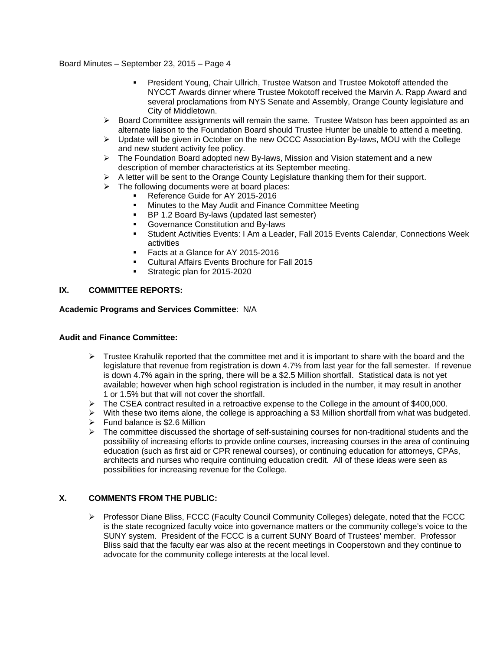- President Young, Chair Ullrich, Trustee Watson and Trustee Mokotoff attended the NYCCT Awards dinner where Trustee Mokotoff received the Marvin A. Rapp Award and several proclamations from NYS Senate and Assembly, Orange County legislature and City of Middletown.
- $\triangleright$  Board Committee assignments will remain the same. Trustee Watson has been appointed as an alternate liaison to the Foundation Board should Trustee Hunter be unable to attend a meeting.
- ¾ Update will be given in October on the new OCCC Association By-laws, MOU with the College and new student activity fee policy.
- $\triangleright$  The Foundation Board adopted new By-laws, Mission and Vision statement and a new description of member characteristics at its September meeting.
- $\triangleright$  A letter will be sent to the Orange County Legislature thanking them for their support.
- $\triangleright$  The following documents were at board places:
	- Reference Guide for AY 2015-2016
	- **Minutes to the May Audit and Finance Committee Meeting**
	- BP 1.2 Board By-laws (updated last semester)
	- Governance Constitution and By-laws
	- Student Activities Events: I Am a Leader, Fall 2015 Events Calendar, Connections Week activities
	- Facts at a Glance for AY 2015-2016
	- Cultural Affairs Events Brochure for Fall 2015
	- Strategic plan for 2015-2020

# **IX. COMMITTEE REPORTS:**

**Academic Programs and Services Committee**: N/A

### **Audit and Finance Committee:**

- $\triangleright$  Trustee Krahulik reported that the committee met and it is important to share with the board and the legislature that revenue from registration is down 4.7% from last year for the fall semester. If revenue is down 4.7% again in the spring, there will be a \$2.5 Million shortfall. Statistical data is not yet available; however when high school registration is included in the number, it may result in another 1 or 1.5% but that will not cover the shortfall.
- ¾ The CSEA contract resulted in a retroactive expense to the College in the amount of \$400,000.
- $\triangleright$  With these two items alone, the college is approaching a \$3 Million shortfall from what was budgeted.  $\triangleright$  Fund balance is \$2.6 Million
- 
- $\triangleright$  The committee discussed the shortage of self-sustaining courses for non-traditional students and the possibility of increasing efforts to provide online courses, increasing courses in the area of continuing education (such as first aid or CPR renewal courses), or continuing education for attorneys, CPAs, architects and nurses who require continuing education credit. All of these ideas were seen as possibilities for increasing revenue for the College.

## **X. COMMENTS FROM THE PUBLIC:**

¾ Professor Diane Bliss, FCCC (Faculty Council Community Colleges) delegate, noted that the FCCC is the state recognized faculty voice into governance matters or the community college's voice to the SUNY system. President of the FCCC is a current SUNY Board of Trustees' member. Professor Bliss said that the faculty ear was also at the recent meetings in Cooperstown and they continue to advocate for the community college interests at the local level.